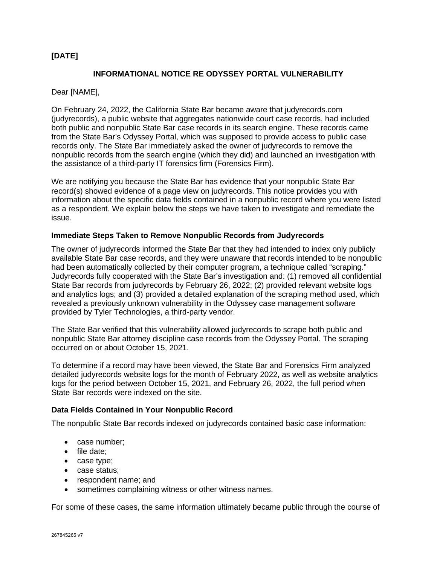# **[DATE]**

## **INFORMATIONAL NOTICE RE ODYSSEY PORTAL VULNERABILITY**

Dear [NAME],

On February 24, 2022, the California State Bar became aware that judyrecords.com (judyrecords), a public website that aggregates nationwide court case records, had included both public and nonpublic State Bar case records in its search engine. These records came from the State Bar's Odyssey Portal, which was supposed to provide access to public case records only. The State Bar immediately asked the owner of judyrecords to remove the nonpublic records from the search engine (which they did) and launched an investigation with the assistance of a third-party IT forensics firm (Forensics Firm).

We are notifying you because the State Bar has evidence that your nonpublic State Bar record(s) showed evidence of a page view on judyrecords. This notice provides you with information about the specific data fields contained in a nonpublic record where you were listed as a respondent. We explain below the steps we have taken to investigate and remediate the issue.

#### **Immediate Steps Taken to Remove Nonpublic Records from Judyrecords**

The owner of judyrecords informed the State Bar that they had intended to index only publicly available State Bar case records, and they were unaware that records intended to be nonpublic had been automatically collected by their computer program, a technique called "scraping." Judyrecords fully cooperated with the State Bar's investigation and: (1) removed all confidential State Bar records from judyrecords by February 26, 2022; (2) provided relevant website logs and analytics logs; and (3) provided a detailed explanation of the scraping method used, which revealed a previously unknown vulnerability in the Odyssey case management software provided by Tyler Technologies, a third-party vendor.

The State Bar verified that this vulnerability allowed judyrecords to scrape both public and nonpublic State Bar attorney discipline case records from the Odyssey Portal. The scraping occurred on or about October 15, 2021.

To determine if a record may have been viewed, the State Bar and Forensics Firm analyzed detailed judyrecords website logs for the month of February 2022, as well as website analytics logs for the period between October 15, 2021, and February 26, 2022, the full period when State Bar records were indexed on the site.

### **Data Fields Contained in Your Nonpublic Record**

The nonpublic State Bar records indexed on judyrecords contained basic case information:

- case number;
- file date;
- case type;
- case status;
- respondent name; and
- sometimes complaining witness or other witness names.

For some of these cases, the same information ultimately became public through the course of